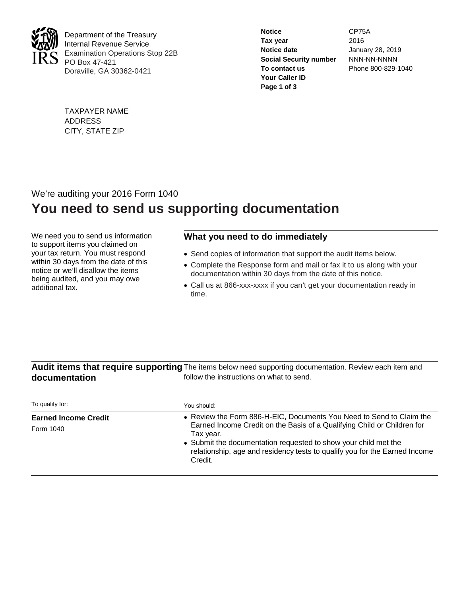

Department of the Treasury Internal Revenue Service Examination Operations Stop 22B PO Box 47-421 Doraville, GA 30362-0421

| <b>Notice</b>                 | CP75A              |
|-------------------------------|--------------------|
| Tax year                      | 2016               |
| Notice date                   | January 28, 2019   |
| <b>Social Security number</b> | NNN-NN-NNNN        |
| To contact us                 | Phone 800-829-1040 |
| Your Caller ID                |                    |
| Page 1 of 3                   |                    |
|                               |                    |

TAXPAYER NAME ADDRESS CITY, STATE ZIP

## We're auditing your 2016 Form 1040 **You need to send us supporting documentation**

We need you to send us information to support items you claimed on your tax return. You must respond within 30 days from the date of this notice or we'll disallow the items being audited, and you may owe additional tax.

### **What you need to do immediately**

- Send copies of information that support the audit items below.
- Complete the Response form and mail or fax it to us along with your documentation within 30 days from the date of this notice.
- Call us at 866-xxx-xxxx if you can't get your documentation ready in time.

#### Audit items that require supporting The items below need supporting documentation. Review each item and **documentation** follow the instructions on what to send.

| To qualify for:             | You should:                                                                                                                                                                                                                                      |
|-----------------------------|--------------------------------------------------------------------------------------------------------------------------------------------------------------------------------------------------------------------------------------------------|
| <b>Earned Income Credit</b> | • Review the Form 886-H-EIC, Documents You Need to Send to Claim the                                                                                                                                                                             |
| Form 1040                   | Earned Income Credit on the Basis of a Qualifying Child or Children for<br>Tax year.<br>• Submit the documentation requested to show your child met the<br>relationship, age and residency tests to qualify you for the Earned Income<br>Credit. |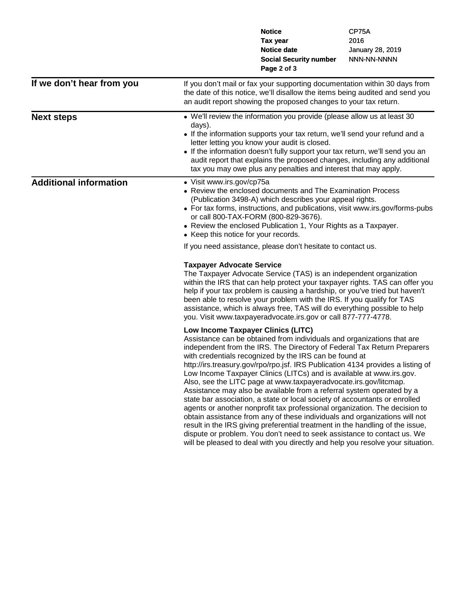|                               |                                                                   | <b>Notice</b>                                                                                                                                                                                                                                                                                                                                                                                                                                                                                                                                                                                                                                                                                                                                                                                                                                                                                                                                                                                                                                     | CP75A            |
|-------------------------------|-------------------------------------------------------------------|---------------------------------------------------------------------------------------------------------------------------------------------------------------------------------------------------------------------------------------------------------------------------------------------------------------------------------------------------------------------------------------------------------------------------------------------------------------------------------------------------------------------------------------------------------------------------------------------------------------------------------------------------------------------------------------------------------------------------------------------------------------------------------------------------------------------------------------------------------------------------------------------------------------------------------------------------------------------------------------------------------------------------------------------------|------------------|
|                               |                                                                   | Tax year                                                                                                                                                                                                                                                                                                                                                                                                                                                                                                                                                                                                                                                                                                                                                                                                                                                                                                                                                                                                                                          | 2016             |
|                               |                                                                   | <b>Notice date</b>                                                                                                                                                                                                                                                                                                                                                                                                                                                                                                                                                                                                                                                                                                                                                                                                                                                                                                                                                                                                                                | January 28, 2019 |
|                               |                                                                   | <b>Social Security number</b>                                                                                                                                                                                                                                                                                                                                                                                                                                                                                                                                                                                                                                                                                                                                                                                                                                                                                                                                                                                                                     | NNN-NN-NNNN      |
|                               |                                                                   | Page 2 of 3                                                                                                                                                                                                                                                                                                                                                                                                                                                                                                                                                                                                                                                                                                                                                                                                                                                                                                                                                                                                                                       |                  |
| If we don't hear from you     |                                                                   | If you don't mail or fax your supporting documentation within 30 days from<br>the date of this notice, we'll disallow the items being audited and send you<br>an audit report showing the proposed changes to your tax return.                                                                                                                                                                                                                                                                                                                                                                                                                                                                                                                                                                                                                                                                                                                                                                                                                    |                  |
| <b>Next steps</b>             | days).                                                            | • We'll review the information you provide (please allow us at least 30<br>• If the information supports your tax return, we'll send your refund and a<br>letter letting you know your audit is closed.<br>• If the information doesn't fully support your tax return, we'll send you an<br>audit report that explains the proposed changes, including any additional<br>tax you may owe plus any penalties and interest that may apply.                                                                                                                                                                                                                                                                                                                                                                                                                                                                                                                                                                                                          |                  |
| <b>Additional information</b> | • Visit www.irs.gov/cp75a<br>• Keep this notice for your records. | • Review the enclosed documents and The Examination Process<br>(Publication 3498-A) which describes your appeal rights.<br>• For tax forms, instructions, and publications, visit www.irs.gov/forms-pubs<br>or call 800-TAX-FORM (800-829-3676).<br>• Review the enclosed Publication 1, Your Rights as a Taxpayer.<br>If you need assistance, please don't hesitate to contact us.                                                                                                                                                                                                                                                                                                                                                                                                                                                                                                                                                                                                                                                               |                  |
|                               | <b>Taxpayer Advocate Service</b>                                  | The Taxpayer Advocate Service (TAS) is an independent organization<br>within the IRS that can help protect your taxpayer rights. TAS can offer you<br>help if your tax problem is causing a hardship, or you've tried but haven't<br>been able to resolve your problem with the IRS. If you qualify for TAS<br>assistance, which is always free, TAS will do everything possible to help<br>you. Visit www.taxpayeradvocate.irs.gov or call 877-777-4778.                                                                                                                                                                                                                                                                                                                                                                                                                                                                                                                                                                                         |                  |
|                               |                                                                   | Low Income Taxpayer Clinics (LITC)<br>Assistance can be obtained from individuals and organizations that are<br>independent from the IRS. The Directory of Federal Tax Return Preparers<br>with credentials recognized by the IRS can be found at<br>http://irs.treasury.gov/rpo/rpo.jsf. IRS Publication 4134 provides a listing of<br>Low Income Taxpayer Clinics (LITCs) and is available at www.irs.gov.<br>Also, see the LITC page at www.taxpayeradvocate.irs.gov/litcmap.<br>Assistance may also be available from a referral system operated by a<br>state bar association, a state or local society of accountants or enrolled<br>agents or another nonprofit tax professional organization. The decision to<br>obtain assistance from any of these individuals and organizations will not<br>result in the IRS giving preferential treatment in the handling of the issue,<br>dispute or problem. You don't need to seek assistance to contact us. We<br>will be pleased to deal with you directly and help you resolve your situation. |                  |